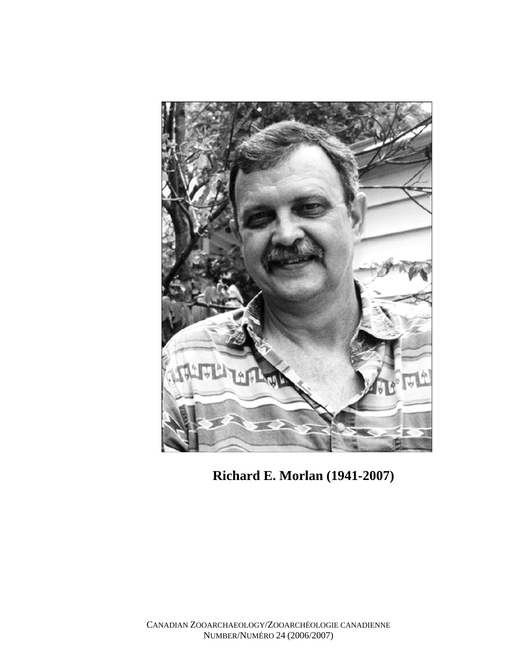

**Richard E. Morlan (1941-2007)**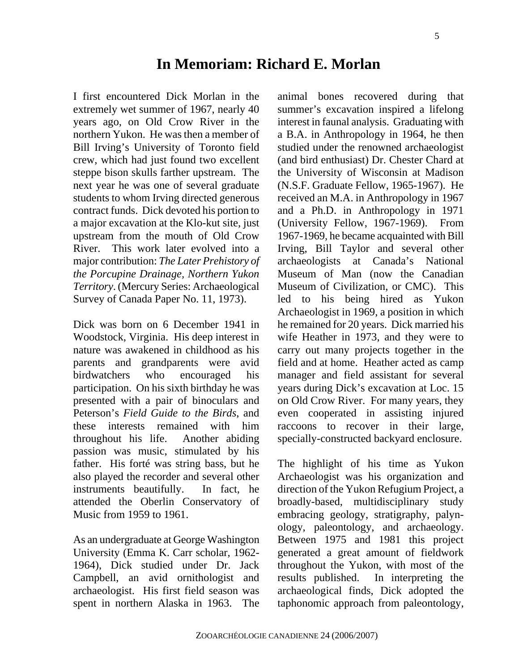## **In Memoriam: Richard E. Morlan**

I first encountered Dick Morlan in the extremely wet summer of 1967, nearly 40 years ago, on Old Crow River in the northern Yukon. He was then a member of Bill Irving's University of Toronto field crew, which had just found two excellent steppe bison skulls farther upstream. The next year he was one of several graduate students to whom Irving directed generous contract funds. Dick devoted his portion to a major excavation at the Klo-kut site, just upstream from the mouth of Old Crow River. This work later evolved into a major contribution: *The Later Prehistory of the Porcupine Drainage, Northern Yukon Territory*. (Mercury Series: Archaeological Survey of Canada Paper No. 11, 1973).

Dick was born on 6 December 1941 in Woodstock, Virginia. His deep interest in nature was awakened in childhood as his parents and grandparents were avid birdwatchers who encouraged his participation. On his sixth birthday he was presented with a pair of binoculars and Peterson's *Field Guide to the Birds*, and these interests remained with him throughout his life. Another abiding passion was music, stimulated by his father. His forté was string bass, but he also played the recorder and several other instruments beautifully. In fact, he attended the Oberlin Conservatory of Music from 1959 to 1961.

As an undergraduate at George Washington University (Emma K. Carr scholar, 1962- 1964), Dick studied under Dr. Jack Campbell, an avid ornithologist and archaeologist. His first field season was spent in northern Alaska in 1963. The

animal bones recovered during that summer's excavation inspired a lifelong interest in faunal analysis. Graduating with a B.A. in Anthropology in 1964, he then studied under the renowned archaeologist (and bird enthusiast) Dr. Chester Chard at the University of Wisconsin at Madison (N.S.F. Graduate Fellow, 1965-1967). He received an M.A. in Anthropology in 1967 and a Ph.D. in Anthropology in 1971 (University Fellow, 1967-1969). From 1967-1969, he became acquainted with Bill Irving, Bill Taylor and several other archaeologists at Canada's National Museum of Man (now the Canadian Museum of Civilization, or CMC). This led to his being hired as Yukon Archaeologist in 1969, a position in which he remained for 20 years. Dick married his wife Heather in 1973, and they were to carry out many projects together in the field and at home. Heather acted as camp manager and field assistant for several years during Dick's excavation at Loc. 15 on Old Crow River. For many years, they even cooperated in assisting injured raccoons to recover in their large, specially-constructed backyard enclosure.

The highlight of his time as Yukon Archaeologist was his organization and direction of the Yukon Refugium Project, a broadly-based, multidisciplinary study embracing geology, stratigraphy, palynology, paleontology, and archaeology. Between 1975 and 1981 this project generated a great amount of fieldwork throughout the Yukon, with most of the results published. In interpreting the archaeological finds, Dick adopted the taphonomic approach from paleontology,